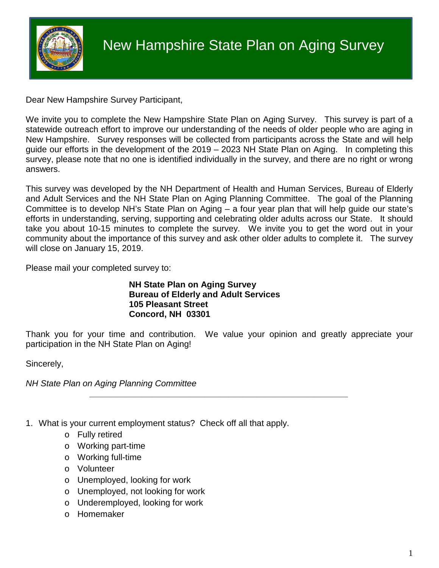

Dear New Hampshire Survey Participant,

We invite you to complete the New Hampshire State Plan on Aging Survey. This survey is part of a statewide outreach effort to improve our understanding of the needs of older people who are aging in New Hampshire. Survey responses will be collected from participants across the State and will help guide our efforts in the development of the 2019 – 2023 NH State Plan on Aging. In completing this survey, please note that no one is identified individually in the survey, and there are no right or wrong answers.

This survey was developed by the NH Department of Health and Human Services, Bureau of Elderly and Adult Services and the NH State Plan on Aging Planning Committee. The goal of the Planning Committee is to develop NH's State Plan on Aging – a four year plan that will help guide our state's efforts in understanding, serving, supporting and celebrating older adults across our State. It should take you about 10-15 minutes to complete the survey. We invite you to get the word out in your community about the importance of this survey and ask other older adults to complete it. The survey will close on January 15, 2019.

Please mail your completed survey to:

## **NH State Plan on Aging Survey Bureau of Elderly and Adult Services 105 Pleasant Street Concord, NH 03301**

Thank you for your time and contribution. We value your opinion and greatly appreciate your participation in the NH State Plan on Aging!

*\_\_\_\_\_\_\_\_\_\_\_\_\_\_\_\_\_\_\_\_\_\_\_\_\_\_\_\_\_\_\_\_\_\_\_\_\_\_\_\_\_\_\_\_\_\_\_\_\_\_\_\_\_\_*

Sincerely,

*NH State Plan on Aging Planning Committee*

- 1. What is your current employment status? Check off all that apply.
	- o Fully retired
	- o Working part-time
	- o Working full-time
	- o Volunteer
	- o Unemployed, looking for work
	- o Unemployed, not looking for work
	- o Underemployed, looking for work
	- o Homemaker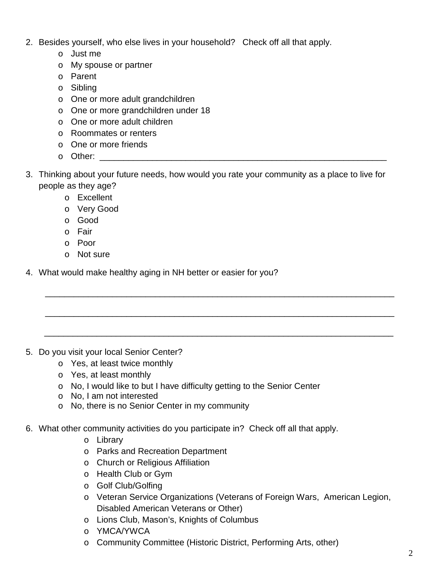- 2. Besides yourself, who else lives in your household? Check off all that apply.
	- o Just me
	- o My spouse or partner
	- o Parent
	- o Sibling
	- o One or more adult grandchildren
	- o One or more grandchildren under 18
	- o One or more adult children
	- o Roommates or renters
	- o One or more friends
	- $\circ$  Other:
- 3. Thinking about your future needs, how would you rate your community as a place to live for people as they age?

\_\_\_\_\_\_\_\_\_\_\_\_\_\_\_\_\_\_\_\_\_\_\_\_\_\_\_\_\_\_\_\_\_\_\_\_\_\_\_\_\_\_\_\_\_\_\_\_\_\_\_\_\_\_\_\_\_\_\_\_\_\_\_\_\_\_\_\_\_\_\_\_\_

\_\_\_\_\_\_\_\_\_\_\_\_\_\_\_\_\_\_\_\_\_\_\_\_\_\_\_\_\_\_\_\_\_\_\_\_\_\_\_\_\_\_\_\_\_\_\_\_\_\_\_\_\_\_\_\_\_\_\_\_\_\_\_\_\_\_\_\_\_\_\_\_\_

\_\_\_\_\_\_\_\_\_\_\_\_\_\_\_\_\_\_\_\_\_\_\_\_\_\_\_\_\_\_\_\_\_\_\_\_\_\_\_\_\_\_\_\_\_\_\_\_\_\_\_\_\_\_\_\_\_\_\_\_\_\_\_\_\_\_\_\_\_\_\_\_\_

- o Excellent
- o Very Good
- o Good
- o Fair
- o Poor
- o Not sure
- 4. What would make healthy aging in NH better or easier for you?

- 5. Do you visit your local Senior Center?
	- o Yes, at least twice monthly
	- o Yes, at least monthly
	- o No, I would like to but I have difficulty getting to the Senior Center
	- o No, I am not interested
	- o No, there is no Senior Center in my community
- 6. What other community activities do you participate in? Check off all that apply.
	- o Library
	- o Parks and Recreation Department
	- o Church or Religious Affiliation
	- o Health Club or Gym
	- o Golf Club/Golfing
	- o Veteran Service Organizations (Veterans of Foreign Wars, American Legion, Disabled American Veterans or Other)
	- o Lions Club, Mason's, Knights of Columbus
	- o YMCA/YWCA
	- o Community Committee (Historic District, Performing Arts, other)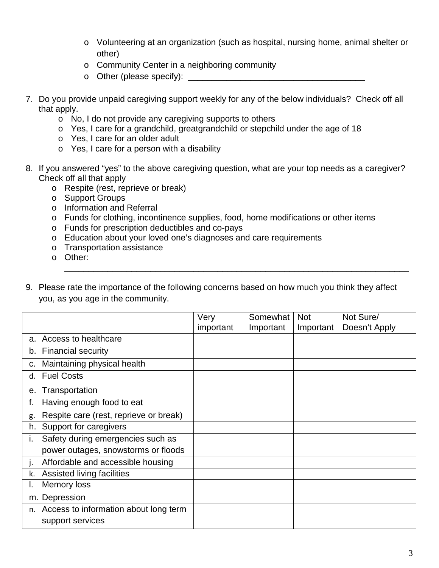- o Volunteering at an organization (such as hospital, nursing home, animal shelter or other)
- o Community Center in a neighboring community
- o Other (please specify): \_\_\_\_\_\_\_\_\_\_\_\_\_\_\_\_\_\_\_\_\_\_\_\_\_\_\_\_\_\_\_\_\_\_\_\_\_
- 7. Do you provide unpaid caregiving support weekly for any of the below individuals? Check off all that apply.
	- o No, I do not provide any caregiving supports to others
	- o Yes, I care for a grandchild, greatgrandchild or stepchild under the age of 18
	- o Yes, I care for an older adult
	- o Yes, I care for a person with a disability
- 8. If you answered "yes" to the above caregiving question, what are your top needs as a caregiver? Check off all that apply
	- o Respite (rest, reprieve or break)
	- o Support Groups
	- o Information and Referral
	- o Funds for clothing, incontinence supplies, food, home modifications or other items
	- o Funds for prescription deductibles and co-pays
	- o Education about your loved one's diagnoses and care requirements
	- o Transportation assistance
	- o Other:
- 9. Please rate the importance of the following concerns based on how much you think they affect you, as you age in the community.

\_\_\_\_\_\_\_\_\_\_\_\_\_\_\_\_\_\_\_\_\_\_\_\_\_\_\_\_\_\_\_\_\_\_\_\_\_\_\_\_\_\_\_\_\_\_\_\_\_\_\_\_\_\_\_\_\_\_\_\_\_\_\_\_\_\_\_\_\_\_\_\_

|                                              | Very      | Somewhat  | <b>Not</b> | Not Sure/     |
|----------------------------------------------|-----------|-----------|------------|---------------|
|                                              | important | Important | Important  | Doesn't Apply |
| a. Access to healthcare                      |           |           |            |               |
| b. Financial security                        |           |           |            |               |
| Maintaining physical health<br>c.            |           |           |            |               |
| <b>Fuel Costs</b><br>d.                      |           |           |            |               |
| Transportation<br>е.                         |           |           |            |               |
| Having enough food to eat<br>t.              |           |           |            |               |
| Respite care (rest, reprieve or break)<br>g. |           |           |            |               |
| Support for caregivers<br>h.                 |           |           |            |               |
| Safety during emergencies such as<br>۱.      |           |           |            |               |
| power outages, snowstorms or floods          |           |           |            |               |
| Affordable and accessible housing<br>ı.      |           |           |            |               |
| Assisted living facilities<br>k.             |           |           |            |               |
| Memory loss<br>ı.                            |           |           |            |               |
| m. Depression                                |           |           |            |               |
| n. Access to information about long term     |           |           |            |               |
| support services                             |           |           |            |               |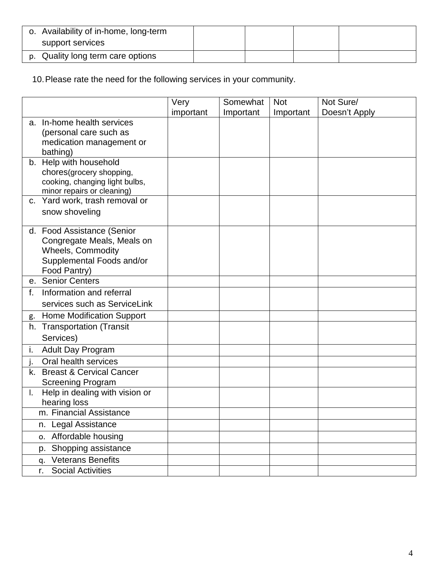| o. Availability of in-home, long-term |  |  |
|---------------------------------------|--|--|
| support services                      |  |  |
| p. Quality long term care options     |  |  |

10.Please rate the need for the following services in your community.

|         |                                                              | Very      | Somewhat  | <b>Not</b> | Not Sure/     |
|---------|--------------------------------------------------------------|-----------|-----------|------------|---------------|
|         |                                                              | important | Important | Important  | Doesn't Apply |
|         | a. In-home health services                                   |           |           |            |               |
|         | (personal care such as                                       |           |           |            |               |
|         | medication management or                                     |           |           |            |               |
|         | bathing)                                                     |           |           |            |               |
|         | b. Help with household                                       |           |           |            |               |
|         | chores(grocery shopping,                                     |           |           |            |               |
|         | cooking, changing light bulbs,<br>minor repairs or cleaning) |           |           |            |               |
| $C_{1}$ | Yard work, trash removal or                                  |           |           |            |               |
|         | snow shoveling                                               |           |           |            |               |
|         |                                                              |           |           |            |               |
|         | d. Food Assistance (Senior                                   |           |           |            |               |
|         | Congregate Meals, Meals on                                   |           |           |            |               |
|         | <b>Wheels, Commodity</b>                                     |           |           |            |               |
|         | Supplemental Foods and/or                                    |           |           |            |               |
|         | Food Pantry)                                                 |           |           |            |               |
|         | e. Senior Centers                                            |           |           |            |               |
| f.      | Information and referral                                     |           |           |            |               |
|         | services such as ServiceLink                                 |           |           |            |               |
| g.      | <b>Home Modification Support</b>                             |           |           |            |               |
|         | h. Transportation (Transit                                   |           |           |            |               |
|         | Services)                                                    |           |           |            |               |
| i.      | Adult Day Program                                            |           |           |            |               |
|         | Oral health services                                         |           |           |            |               |
| k.      | <b>Breast &amp; Cervical Cancer</b>                          |           |           |            |               |
|         | <b>Screening Program</b>                                     |           |           |            |               |
|         | Help in dealing with vision or                               |           |           |            |               |
|         | hearing loss                                                 |           |           |            |               |
|         | m. Financial Assistance                                      |           |           |            |               |
|         | Legal Assistance<br>n.                                       |           |           |            |               |
|         | Affordable housing<br>о.                                     |           |           |            |               |
|         | Shopping assistance<br>p.                                    |           |           |            |               |
|         | <b>Veterans Benefits</b><br>q.                               |           |           |            |               |
|         | <b>Social Activities</b><br>r.                               |           |           |            |               |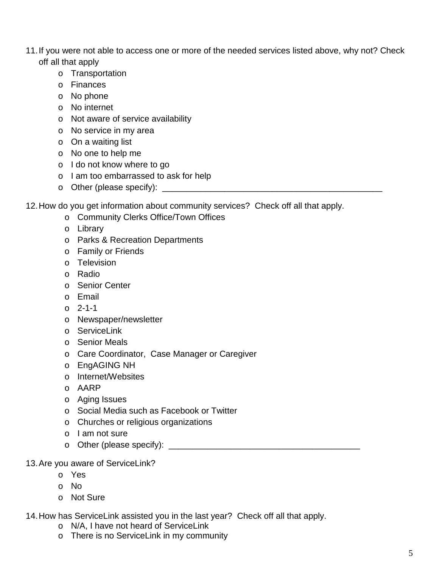- 11.If you were not able to access one or more of the needed services listed above, why not? Check off all that apply
	- o Transportation
	- o Finances
	- o No phone
	- o No internet
	- o Not aware of service availability
	- o No service in my area
	- o On a waiting list
	- o No one to help me
	- o I do not know where to go
	- o I am too embarrassed to ask for help
	- o Other (please specify): \_\_\_\_\_\_\_\_\_\_\_\_\_\_\_\_\_\_\_\_\_\_\_\_\_\_\_\_\_\_\_\_\_\_\_\_\_\_\_\_\_\_\_\_\_\_

12.How do you get information about community services? Check off all that apply.

- o Community Clerks Office/Town Offices
- o Library
- o Parks & Recreation Departments
- o Family or Friends
- o Television
- o Radio
- o Senior Center
- o Email
- o 2-1-1
- o Newspaper/newsletter
- o ServiceLink
- o Senior Meals
- o Care Coordinator, Case Manager or Caregiver
- o EngAGING NH
- o Internet/Websites
- o AARP
- o Aging Issues
- o Social Media such as Facebook or Twitter
- o Churches or religious organizations
- o I am not sure
- o Other (please specify): \_\_\_\_\_\_\_\_\_\_\_\_\_\_\_\_\_\_\_\_\_\_\_\_\_\_\_\_\_\_\_\_\_\_\_\_\_\_\_\_
- 13.Are you aware of ServiceLink?
	- o Yes
	- o No
	- o Not Sure

14.How has ServiceLink assisted you in the last year? Check off all that apply.

- o N/A, I have not heard of ServiceLink
- o There is no ServiceLink in my community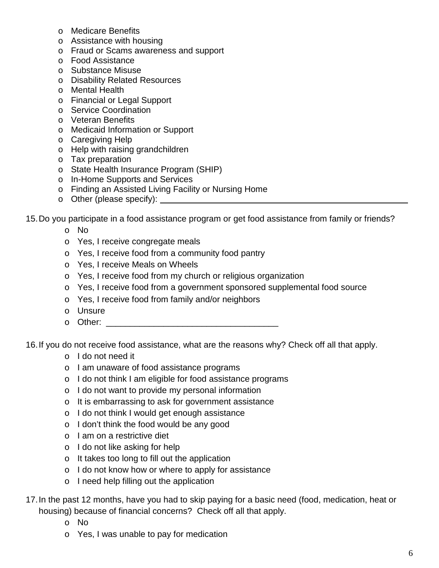- o Medicare Benefits
- o Assistance with housing
- o Fraud or Scams awareness and support
- o Food Assistance
- o Substance Misuse
- o Disability Related Resources
- o Mental Health
- o Financial or Legal Support
- o Service Coordination
- o Veteran Benefits
- o Medicaid Information or Support
- o Caregiving Help
- o Help with raising grandchildren
- o Tax preparation
- o State Health Insurance Program (SHIP)
- o In-Home Supports and Services
- o Finding an Assisted Living Facility or Nursing Home
- o Other (please specify):

15.Do you participate in a food assistance program or get food assistance from family or friends?

- o No
- o Yes, I receive congregate meals
- o Yes, I receive food from a community food pantry
- o Yes, I receive Meals on Wheels
- o Yes, I receive food from my church or religious organization
- o Yes, I receive food from a government sponsored supplemental food source
- o Yes, I receive food from family and/or neighbors
- o Unsure
- $\circ$  Other:  $\circ$  Other:

16.If you do not receive food assistance, what are the reasons why? Check off all that apply.

- o I do not need it
- o I am unaware of food assistance programs
- o I do not think I am eligible for food assistance programs
- o I do not want to provide my personal information
- o It is embarrassing to ask for government assistance
- o I do not think I would get enough assistance
- o I don't think the food would be any good
- o I am on a restrictive diet
- o I do not like asking for help
- o It takes too long to fill out the application
- o I do not know how or where to apply for assistance
- o I need help filling out the application
- 17.In the past 12 months, have you had to skip paying for a basic need (food, medication, heat or housing) because of financial concerns? Check off all that apply.
	- o No
	- o Yes, I was unable to pay for medication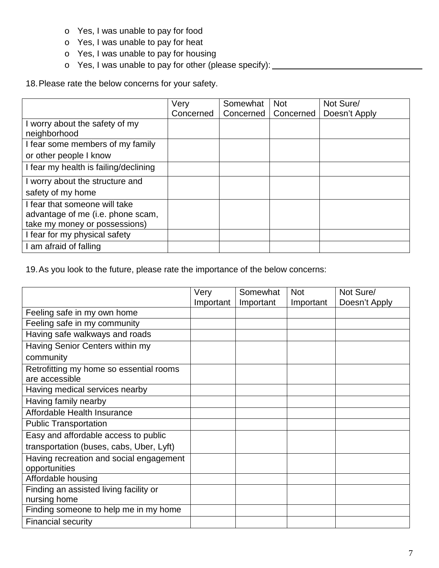- o Yes, I was unable to pay for food
- o Yes, I was unable to pay for heat
- o Yes, I was unable to pay for housing
- o Yes, I was unable to pay for other (please specify):

18.Please rate the below concerns for your safety.

|                                       | Very      | Somewhat  | <b>Not</b> | Not Sure/     |
|---------------------------------------|-----------|-----------|------------|---------------|
|                                       | Concerned | Concerned | Concerned  | Doesn't Apply |
| I worry about the safety of my        |           |           |            |               |
| neighborhood                          |           |           |            |               |
| I fear some members of my family      |           |           |            |               |
| or other people I know                |           |           |            |               |
| I fear my health is failing/declining |           |           |            |               |
| I worry about the structure and       |           |           |            |               |
| safety of my home                     |           |           |            |               |
| I fear that someone will take         |           |           |            |               |
| advantage of me (i.e. phone scam,     |           |           |            |               |
| take my money or possessions)         |           |           |            |               |
| I fear for my physical safety         |           |           |            |               |
| I am afraid of falling                |           |           |            |               |

19.As you look to the future, please rate the importance of the below concerns:

|                                          | Very      | Somewhat  | <b>Not</b> | Not Sure/     |
|------------------------------------------|-----------|-----------|------------|---------------|
|                                          | Important | Important | Important  | Doesn't Apply |
| Feeling safe in my own home              |           |           |            |               |
| Feeling safe in my community             |           |           |            |               |
| Having safe walkways and roads           |           |           |            |               |
| Having Senior Centers within my          |           |           |            |               |
| community                                |           |           |            |               |
| Retrofitting my home so essential rooms  |           |           |            |               |
| are accessible                           |           |           |            |               |
| Having medical services nearby           |           |           |            |               |
| Having family nearby                     |           |           |            |               |
| Affordable Health Insurance              |           |           |            |               |
| <b>Public Transportation</b>             |           |           |            |               |
| Easy and affordable access to public     |           |           |            |               |
| transportation (buses, cabs, Uber, Lyft) |           |           |            |               |
| Having recreation and social engagement  |           |           |            |               |
| opportunities                            |           |           |            |               |
| Affordable housing                       |           |           |            |               |
| Finding an assisted living facility or   |           |           |            |               |
| nursing home                             |           |           |            |               |
| Finding someone to help me in my home    |           |           |            |               |
| <b>Financial security</b>                |           |           |            |               |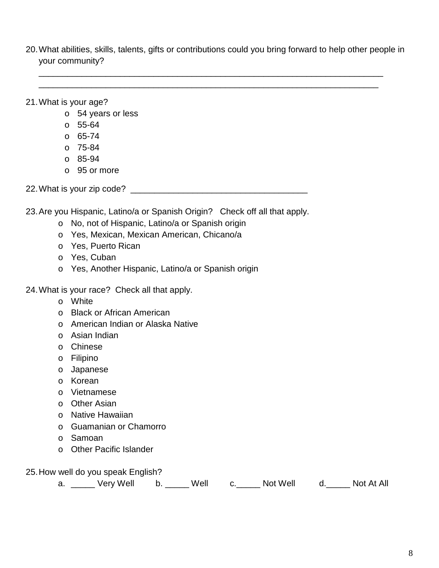20.What abilities, skills, talents, gifts or contributions could you bring forward to help other people in your community?

\_\_\_\_\_\_\_\_\_\_\_\_\_\_\_\_\_\_\_\_\_\_\_\_\_\_\_\_\_\_\_\_\_\_\_\_\_\_\_\_\_\_\_\_\_\_\_\_\_\_\_\_\_\_\_\_\_\_\_\_\_\_\_\_\_\_\_\_\_\_\_\_ \_\_\_\_\_\_\_\_\_\_\_\_\_\_\_\_\_\_\_\_\_\_\_\_\_\_\_\_\_\_\_\_\_\_\_\_\_\_\_\_\_\_\_\_\_\_\_\_\_\_\_\_\_\_\_\_\_\_\_\_\_\_\_\_\_\_\_\_\_\_\_

21.What is your age?

- o 54 years or less
- o 55-64
- o 65-74
- $O$  75-84
- o 85-94
- o 95 or more

22.What is your zip code? \_\_\_\_\_\_\_\_\_\_\_\_\_\_\_\_\_\_\_\_\_\_\_\_\_\_\_\_\_\_\_\_\_\_\_\_\_

23.Are you Hispanic, Latino/a or Spanish Origin? Check off all that apply.

- o No, not of Hispanic, Latino/a or Spanish origin
- o Yes, Mexican, Mexican American, Chicano/a
- o Yes, Puerto Rican
- o Yes, Cuban
- o Yes, Another Hispanic, Latino/a or Spanish origin

24.What is your race? Check all that apply.

- o White
- o Black or African American
- o American Indian or Alaska Native
- o Asian Indian
- o Chinese
- o Filipino
- o Japanese
- o Korean
- o Vietnamese
- o Other Asian
- o Native Hawaiian
- o Guamanian or Chamorro
- o Samoan
- o Other Pacific Islander
- 25.How well do you speak English?

| a. | Very Well |  | Well |  | Not Well |  | Not At All |
|----|-----------|--|------|--|----------|--|------------|
|----|-----------|--|------|--|----------|--|------------|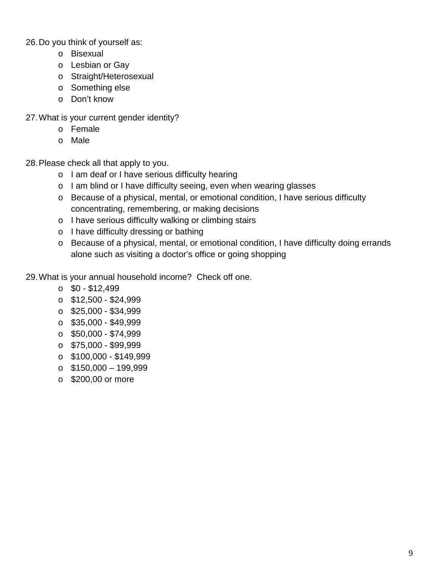26.Do you think of yourself as:

- o Bisexual
- o Lesbian or Gay
- o Straight/Heterosexual
- o Something else
- o Don't know
- 27.What is your current gender identity?
	- o Female
	- o Male

28.Please check all that apply to you.

- o I am deaf or I have serious difficulty hearing
- o I am blind or I have difficulty seeing, even when wearing glasses
- o Because of a physical, mental, or emotional condition, I have serious difficulty concentrating, remembering, or making decisions
- o I have serious difficulty walking or climbing stairs
- o I have difficulty dressing or bathing
- o Because of a physical, mental, or emotional condition, I have difficulty doing errands alone such as visiting a doctor's office or going shopping

29.What is your annual household income? Check off one.

- $\circ$  \$0 \$12,499
- $\circ$  \$12,500 \$24,999
- $\circ$  \$25,000 \$34,999
- $\circ$  \$35,000 \$49,999
- $\circ$  \$50,000 \$74,999
- $\circ$  \$75,000 \$99,999
- $\circ$  \$100,000 \$149,999
- $\circ$  \$150,000 199,999
- o \$200,00 or more